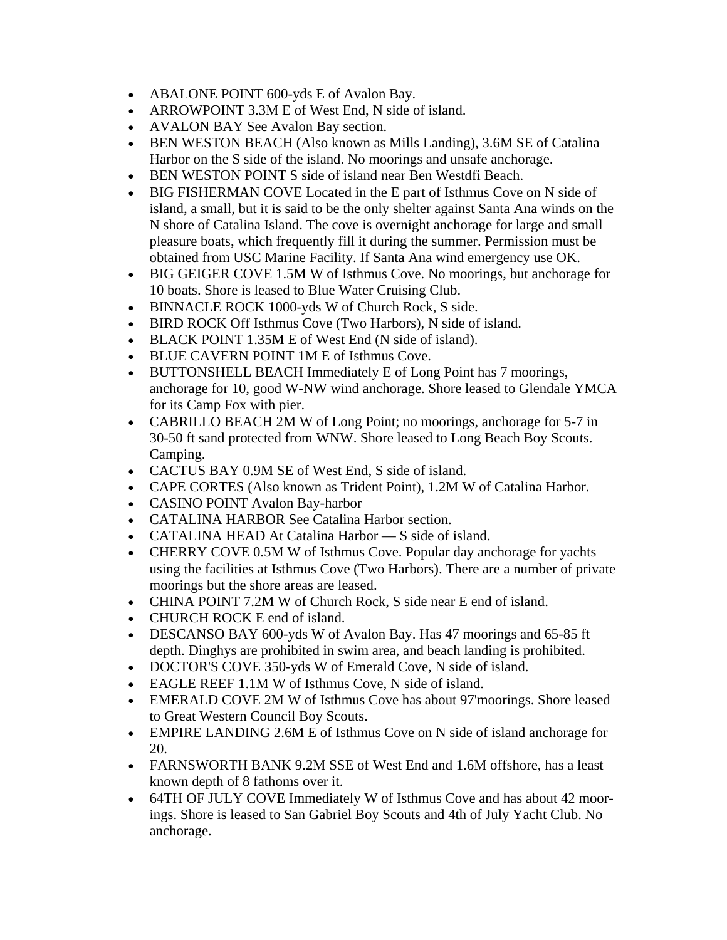- ABALONE POINT 600-yds E of Avalon Bay.
- ARROWPOINT 3.3M E of West End, N side of island.
- AVALON BAY See Avalon Bay section.
- BEN WESTON BEACH (Also known as Mills Landing), 3.6M SE of Catalina Harbor on the S side of the island. No moorings and unsafe anchorage.
- BEN WESTON POINT S side of island near Ben Westdfi Beach.
- BIG FISHERMAN COVE Located in the E part of Isthmus Cove on N side of island, a small, but it is said to be the only shelter against Santa Ana winds on the N shore of Catalina Island. The cove is overnight anchorage for large and small pleasure boats, which frequently fill it during the summer. Permission must be obtained from USC Marine Facility. If Santa Ana wind emergency use OK.
- BIG GEIGER COVE 1.5M W of Isthmus Cove. No moorings, but anchorage for 10 boats. Shore is leased to Blue Water Cruising Club.
- BINNACLE ROCK 1000-yds W of Church Rock, S side.
- BIRD ROCK Off Isthmus Cove (Two Harbors), N side of island.
- BLACK POINT 1.35M E of West End (N side of island).
- BLUE CAVERN POINT 1M E of Isthmus Cove.
- BUTTONSHELL BEACH Immediately E of Long Point has 7 moorings, anchorage for 10, good W-NW wind anchorage. Shore leased to Glendale YMCA for its Camp Fox with pier.
- CABRILLO BEACH 2M W of Long Point; no moorings, anchorage for 5-7 in 30-50 ft sand protected from WNW. Shore leased to Long Beach Boy Scouts. Camping.
- CACTUS BAY 0.9M SE of West End, S side of island.
- CAPE CORTES (Also known as Trident Point), 1.2M W of Catalina Harbor.
- CASINO POINT Avalon Bay-harbor
- CATALINA HARBOR See Catalina Harbor section.
- CATALINA HEAD At Catalina Harbor S side of island.
- CHERRY COVE 0.5M W of Isthmus Cove. Popular day anchorage for yachts using the facilities at Isthmus Cove (Two Harbors). There are a number of private moorings but the shore areas are leased.
- CHINA POINT 7.2M W of Church Rock, S side near E end of island.
- CHURCH ROCK E end of island.
- DESCANSO BAY 600-yds W of Avalon Bay. Has 47 moorings and 65-85 ft depth. Dinghys are prohibited in swim area, and beach landing is prohibited.
- DOCTOR'S COVE 350-yds W of Emerald Cove, N side of island.
- EAGLE REEF 1.1M W of Isthmus Cove, N side of island.
- EMERALD COVE 2M W of Isthmus Cove has about 97'moorings. Shore leased to Great Western Council Boy Scouts.
- EMPIRE LANDING 2.6M E of Isthmus Cove on N side of island anchorage for 20.
- FARNSWORTH BANK 9.2M SSE of West End and 1.6M offshore, has a least known depth of 8 fathoms over it.
- 64TH OF JULY COVE Immediately W of Isthmus Cove and has about 42 moorings. Shore is leased to San Gabriel Boy Scouts and 4th of July Yacht Club. No anchorage.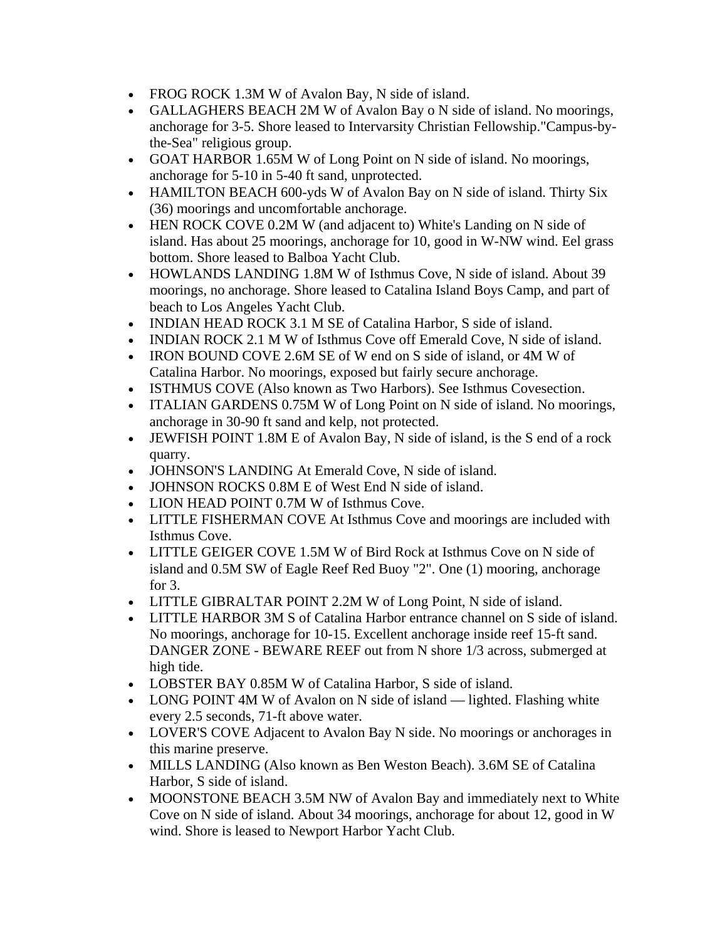- FROG ROCK 1.3M W of Avalon Bay, N side of island.
- GALLAGHERS BEACH 2M W of Avalon Bay o N side of island. No moorings, anchorage for 3-5. Shore leased to Intervarsity Christian Fellowship."Campus-bythe-Sea" religious group.
- GOAT HARBOR 1.65M W of Long Point on N side of island. No moorings, anchorage for 5-10 in 5-40 ft sand, unprotected.
- HAMILTON BEACH 600-yds W of Avalon Bay on N side of island. Thirty Six (36) moorings and uncomfortable anchorage.
- HEN ROCK COVE 0.2M W (and adjacent to) White's Landing on N side of island. Has about 25 moorings, anchorage for 10, good in W-NW wind. Eel grass bottom. Shore leased to Balboa Yacht Club.
- HOWLANDS LANDING 1.8M W of Isthmus Cove, N side of island. About 39 moorings, no anchorage. Shore leased to Catalina Island Boys Camp, and part of beach to Los Angeles Yacht Club.
- INDIAN HEAD ROCK 3.1 M SE of Catalina Harbor, S side of island.
- INDIAN ROCK 2.1 M W of Isthmus Cove off Emerald Cove, N side of island.
- IRON BOUND COVE 2.6M SE of W end on S side of island, or 4M W of Catalina Harbor. No moorings, exposed but fairly secure anchorage.
- ISTHMUS COVE (Also known as Two Harbors). See Isthmus Covesection.
- ITALIAN GARDENS 0.75M W of Long Point on N side of island. No moorings, anchorage in 30-90 ft sand and kelp, not protected.
- JEWFISH POINT 1.8M E of Avalon Bay, N side of island, is the S end of a rock quarry.
- JOHNSON'S LANDING At Emerald Cove, N side of island.
- JOHNSON ROCKS 0.8M E of West End N side of island.
- LION HEAD POINT 0.7M W of Isthmus Cove.
- LITTLE FISHERMAN COVE At Isthmus Cove and moorings are included with Isthmus Cove.
- LITTLE GEIGER COVE 1.5M W of Bird Rock at Isthmus Cove on N side of island and 0.5M SW of Eagle Reef Red Buoy "2". One (1) mooring, anchorage for 3.
- LITTLE GIBRALTAR POINT 2.2M W of Long Point, N side of island.
- LITTLE HARBOR 3M S of Catalina Harbor entrance channel on S side of island. No moorings, anchorage for 10-15. Excellent anchorage inside reef 15-ft sand. DANGER ZONE - BEWARE REEF out from N shore 1/3 across, submerged at high tide.
- LOBSTER BAY 0.85M W of Catalina Harbor, S side of island.
- LONG POINT 4M W of Avalon on N side of island lighted. Flashing white every 2.5 seconds, 71-ft above water.
- LOVER'S COVE Adjacent to Avalon Bay N side. No moorings or anchorages in this marine preserve.
- MILLS LANDING (Also known as Ben Weston Beach). 3.6M SE of Catalina Harbor, S side of island.
- MOONSTONE BEACH 3.5M NW of Avalon Bay and immediately next to White Cove on N side of island. About 34 moorings, anchorage for about 12, good in W wind. Shore is leased to Newport Harbor Yacht Club.